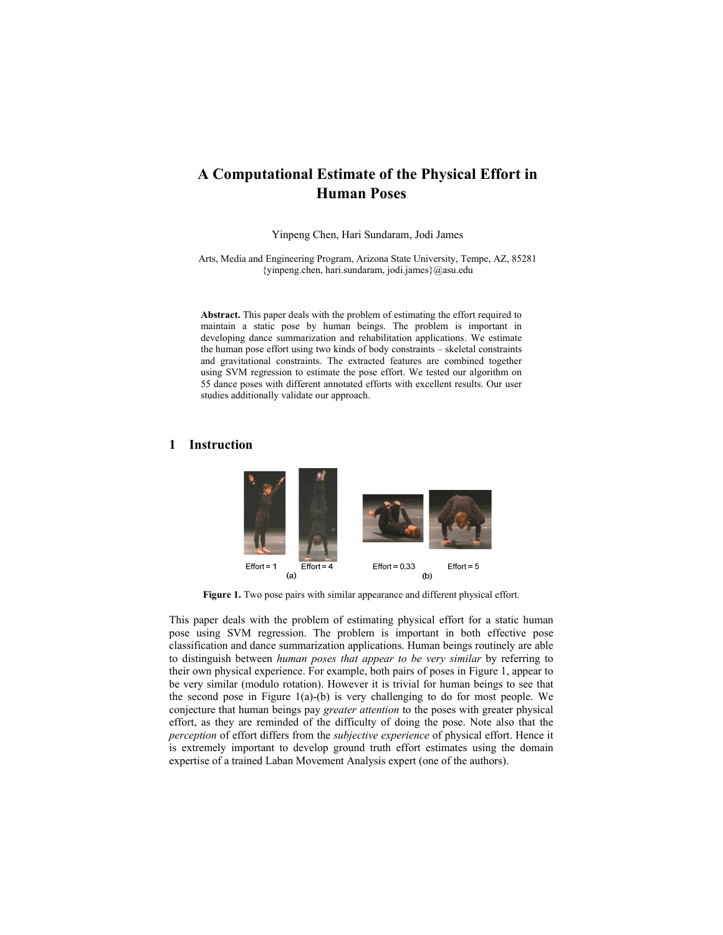# **A Computational Estimate of the Physical Effort in Human Poses**

Yinpeng Chen, Hari Sundaram, Jodi James

Arts, Media and Engineering Program, Arizona State University, Tempe, AZ, 85281 {yinpeng.chen, hari.sundaram, jodi.james}@asu.edu

**Abstract.** This paper deals with the problem of estimating the effort required to maintain a static pose by human beings. The problem is important in developing dance summarization and rehabilitation applications. We estimate the human pose effort using two kinds of body constraints – skeletal constraints and gravitational constraints. The extracted features are combined together using SVM regression to estimate the pose effort. We tested our algorithm on 55 dance poses with different annotated efforts with excellent results. Our user studies additionally validate our approach.

# **1 Instruction**



**Figure 1.** Two pose pairs with similar appearance and different physical effort.

This paper deals with the problem of estimating physical effort for a static human pose using SVM regression. The problem is important in both effective pose classification and dance summarization applications. Human beings routinely are able to distinguish between *human poses that appear to be very similar* by referring to their own physical experience. For example, both pairs of poses in Figure 1, appear to be very similar (modulo rotation). However it is trivial for human beings to see that the second pose in Figure 1(a)-(b) is very challenging to do for most people. We conjecture that human beings pay *greater attention* to the poses with greater physical effort, as they are reminded of the difficulty of doing the pose. Note also that the *perception* of effort differs from the *subjective experience* of physical effort. Hence it is extremely important to develop ground truth effort estimates using the domain expertise of a trained Laban Movement Analysis expert (one of the authors).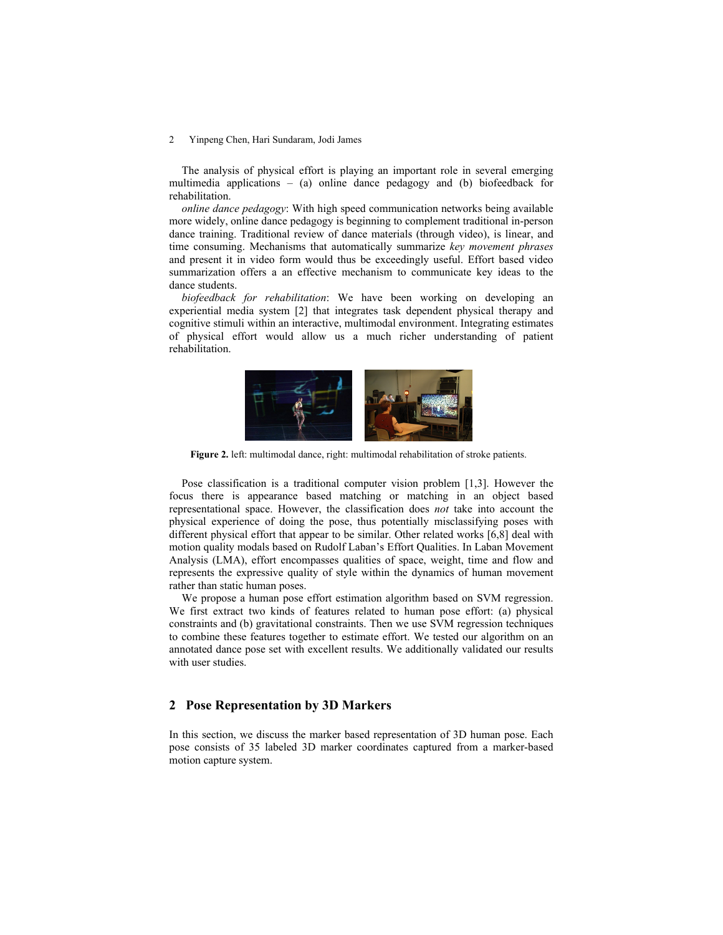The analysis of physical effort is playing an important role in several emerging multimedia applications – (a) online dance pedagogy and (b) biofeedback for rehabilitation.

*online dance pedagogy*: With high speed communication networks being available more widely, online dance pedagogy is beginning to complement traditional in-person dance training. Traditional review of dance materials (through video), is linear, and time consuming. Mechanisms that automatically summarize *key movement phrases* and present it in video form would thus be exceedingly useful. Effort based video summarization offers a an effective mechanism to communicate key ideas to the dance students.

*biofeedback for rehabilitation*: We have been working on developing an experiential media system [2] that integrates task dependent physical therapy and cognitive stimuli within an interactive, multimodal environment. Integrating estimates of physical effort would allow us a much richer understanding of patient rehabilitation.



**Figure 2.** left: multimodal dance, right: multimodal rehabilitation of stroke patients.

Pose classification is a traditional computer vision problem [1,3]. However the focus there is appearance based matching or matching in an object based representational space. However, the classification does *not* take into account the physical experience of doing the pose, thus potentially misclassifying poses with different physical effort that appear to be similar. Other related works [6,8] deal with motion quality modals based on Rudolf Laban's Effort Qualities. In Laban Movement Analysis (LMA), effort encompasses qualities of space, weight, time and flow and represents the expressive quality of style within the dynamics of human movement rather than static human poses.

We propose a human pose effort estimation algorithm based on SVM regression. We first extract two kinds of features related to human pose effort: (a) physical constraints and (b) gravitational constraints. Then we use SVM regression techniques to combine these features together to estimate effort. We tested our algorithm on an annotated dance pose set with excellent results. We additionally validated our results with user studies.

# **2 Pose Representation by 3D Markers**

In this section, we discuss the marker based representation of 3D human pose. Each pose consists of 35 labeled 3D marker coordinates captured from a marker-based motion capture system.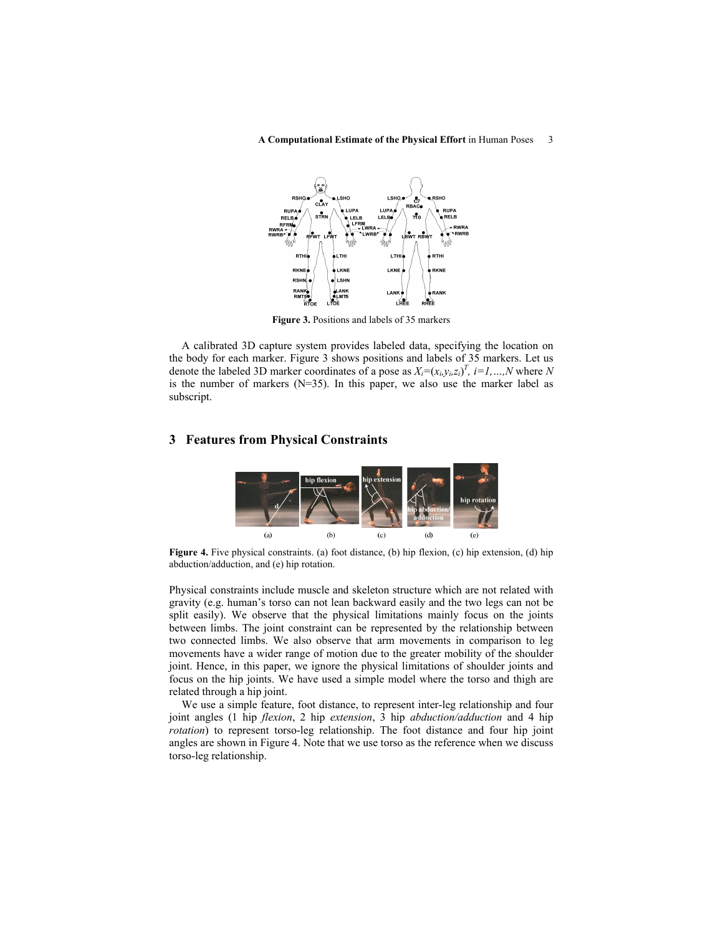

**Figure 3.** Positions and labels of 35 markers

A calibrated 3D capture system provides labeled data, specifying the location on the body for each marker. Figure 3 shows positions and labels of 35 markers. Let us denote the labeled 3D marker coordinates of a pose as  $X_i = (x_i, y_i, z_i)^T$ ,  $i = 1, ..., N$  where *N* is the number of markers (N=35). In this paper, we also use the marker label as subscript.

# **3 Features from Physical Constraints**



**Figure 4.** Five physical constraints. (a) foot distance, (b) hip flexion, (c) hip extension, (d) hip abduction/adduction, and (e) hip rotation.

Physical constraints include muscle and skeleton structure which are not related with gravity (e.g. human's torso can not lean backward easily and the two legs can not be split easily). We observe that the physical limitations mainly focus on the joints between limbs. The joint constraint can be represented by the relationship between two connected limbs. We also observe that arm movements in comparison to leg movements have a wider range of motion due to the greater mobility of the shoulder joint. Hence, in this paper, we ignore the physical limitations of shoulder joints and focus on the hip joints. We have used a simple model where the torso and thigh are related through a hip joint.

We use a simple feature, foot distance, to represent inter-leg relationship and four joint angles (1 hip *flexion*, 2 hip *extension*, 3 hip *abduction/adduction* and 4 hip *rotation*) to represent torso-leg relationship. The foot distance and four hip joint angles are shown in Figure 4. Note that we use torso as the reference when we discuss torso-leg relationship.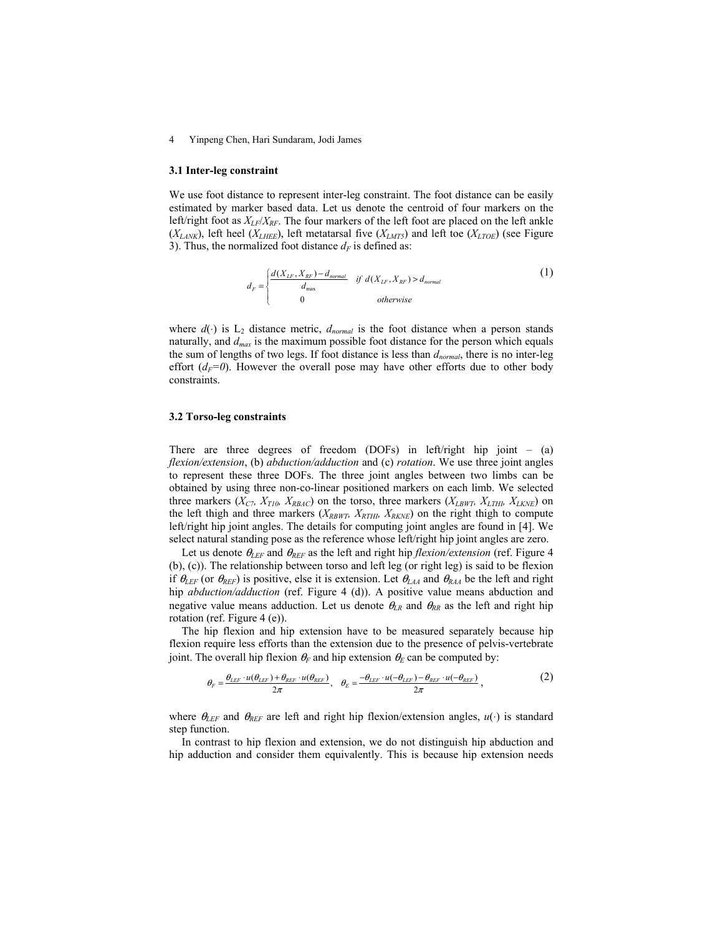#### **3.1 Inter-leg constraint**

We use foot distance to represent inter-leg constraint. The foot distance can be easily estimated by marker based data. Let us denote the centroid of four markers on the left/right foot as  $X_{LF}/X_{RF}$ . The four markers of the left foot are placed on the left ankle  $(X_{LANK})$ , left heel  $(X_{LHEE})$ , left metatarsal five  $(X_{LMT5})$  and left toe  $(X_{LTOE})$  (see Figure 3). Thus, the normalized foot distance  $d_F$  is defined as:

$$
d_F = \begin{cases} \frac{d(X_{LF}, X_{RF}) - d_{normal}}{d_{max}} & \text{if } d(X_{LF}, X_{RF}) > d_{normal} \\ 0 & \text{otherwise} \end{cases}
$$
 (1)

where  $d(\cdot)$  is  $L_2$  distance metric,  $d_{normal}$  is the foot distance when a person stands naturally, and *dmax* is the maximum possible foot distance for the person which equals the sum of lengths of two legs. If foot distance is less than *dnormal*, there is no inter-leg effort  $(d_F=0)$ . However the overall pose may have other efforts due to other body constraints.

#### **3.2 Torso-leg constraints**

There are three degrees of freedom (DOFs) in left/right hip joint – (a) *flexion/extension*, (b) *abduction/adduction* and (c) *rotation*. We use three joint angles to represent these three DOFs. The three joint angles between two limbs can be obtained by using three non-co-linear positioned markers on each limb. We selected three markers ( $X_{C7}$ ,  $X_{T10}$ ,  $X_{RBAC}$ ) on the torso, three markers ( $X_{LBWT}$ ,  $X_{LTHI}$ ,  $X_{LKNE}$ ) on the left thigh and three markers  $(X_{RBWT}$ ,  $X_{RTHB}$ ,  $X_{RKNE}$ ) on the right thigh to compute left/right hip joint angles. The details for computing joint angles are found in [4]. We select natural standing pose as the reference whose left/right hip joint angles are zero.

Let us denote  $\theta_{\text{LEF}}$  and  $\theta_{\text{REF}}$  as the left and right hip *flexion/extension* (ref. Figure 4) (b), (c)). The relationship between torso and left leg (or right leg) is said to be flexion if  $\theta_{\text{LEF}}$  (or  $\theta_{\text{REF}}$ ) is positive, else it is extension. Let  $\theta_{\text{LA}}$  and  $\theta_{\text{RA}}$  be the left and right hip *abduction/adduction* (ref. Figure 4 (d)). A positive value means abduction and negative value means adduction. Let us denote  $\theta_{LR}$  and  $\theta_{RR}$  as the left and right hip rotation (ref. Figure 4 (e)).

The hip flexion and hip extension have to be measured separately because hip flexion require less efforts than the extension due to the presence of pelvis-vertebrate joint. The overall hip flexion  $\theta_F$  and hip extension  $\theta_F$  can be computed by:

$$
\theta_F = \frac{\theta_{IEF} \cdot u(\theta_{IEF}) + \theta_{REF} \cdot u(\theta_{REF})}{2\pi}, \quad \theta_E = \frac{-\theta_{IEF} \cdot u(-\theta_{IEF}) - \theta_{REF} \cdot u(-\theta_{REF})}{2\pi},
$$
\n(2)

where  $\theta_{\text{LEF}}$  and  $\theta_{\text{REF}}$  are left and right hip flexion/extension angles,  $u(\cdot)$  is standard step function.

In contrast to hip flexion and extension, we do not distinguish hip abduction and hip adduction and consider them equivalently. This is because hip extension needs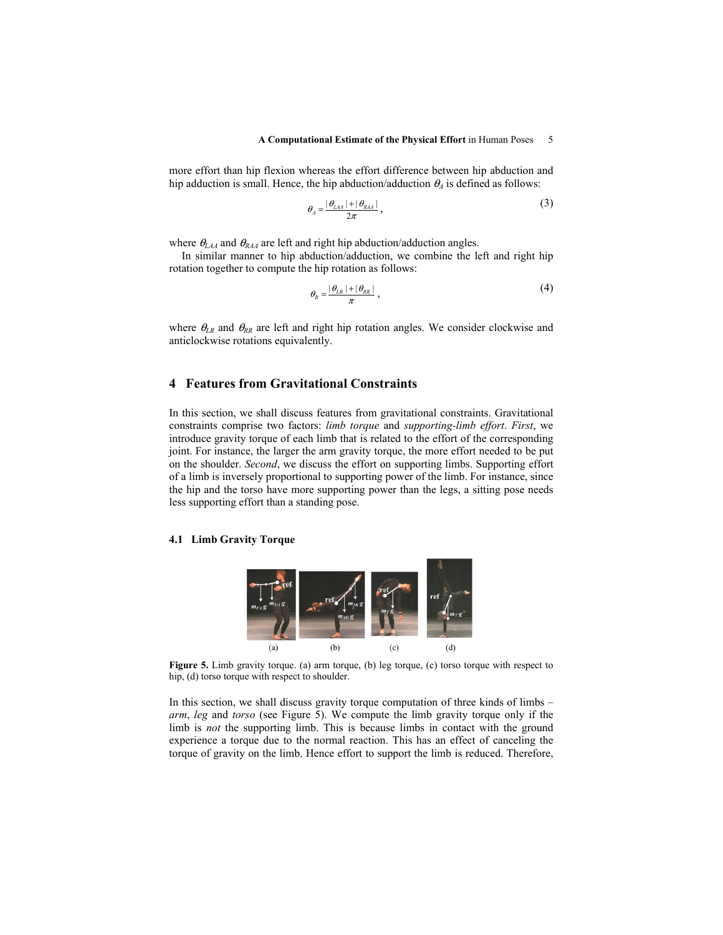more effort than hip flexion whereas the effort difference between hip abduction and hip adduction is small. Hence, the hip abduction/adduction  $\theta_A$  is defined as follows:

$$
\theta_A = \frac{|\theta_{LAA}| + |\theta_{RAA}|}{2\pi},\tag{3}
$$

where  $\theta_{LAA}$  and  $\theta_{RAA}$  are left and right hip abduction/adduction angles.

In similar manner to hip abduction/adduction, we combine the left and right hip rotation together to compute the hip rotation as follows:

$$
\theta_R = \frac{|\theta_{LR}| + |\theta_{RR}|}{\pi} \,, \tag{4}
$$

where  $\theta_{LR}$  and  $\theta_{RR}$  are left and right hip rotation angles. We consider clockwise and anticlockwise rotations equivalently.

# **4 Features from Gravitational Constraints**

In this section, we shall discuss features from gravitational constraints. Gravitational constraints comprise two factors: *limb torque* and *supporting-limb effort*. *First*, we introduce gravity torque of each limb that is related to the effort of the corresponding joint. For instance, the larger the arm gravity torque, the more effort needed to be put on the shoulder. *Second*, we discuss the effort on supporting limbs. Supporting effort of a limb is inversely proportional to supporting power of the limb. For instance, since the hip and the torso have more supporting power than the legs, a sitting pose needs less supporting effort than a standing pose.

### **4.1 Limb Gravity Torque**



Figure 5. Limb gravity torque. (a) arm torque, (b) leg torque, (c) torso torque with respect to hip, (d) torso torque with respect to shoulder.

In this section, we shall discuss gravity torque computation of three kinds of limbs – *arm*, *leg* and *torso* (see Figure 5). We compute the limb gravity torque only if the limb is *not* the supporting limb. This is because limbs in contact with the ground experience a torque due to the normal reaction. This has an effect of canceling the torque of gravity on the limb. Hence effort to support the limb is reduced. Therefore,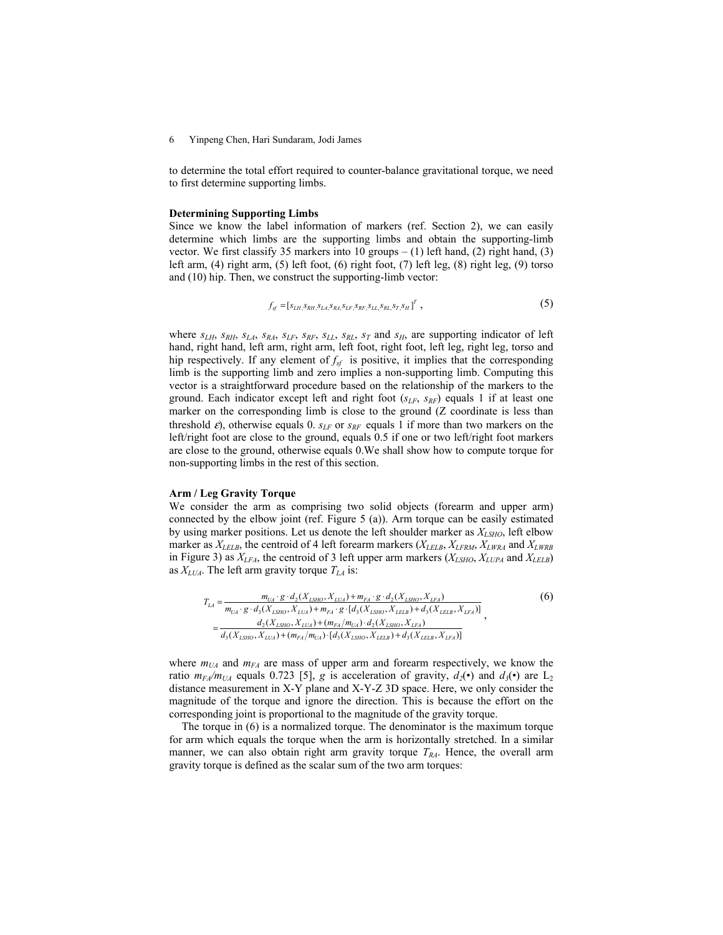to determine the total effort required to counter-balance gravitational torque, we need to first determine supporting limbs.

### **Determining Supporting Limbs**

Since we know the label information of markers (ref. Section 2), we can easily determine which limbs are the supporting limbs and obtain the supporting-limb vector. We first classify 35 markers into 10 groups  $- (1)$  left hand, (2) right hand, (3) left arm, (4) right arm, (5) left foot, (6) right foot, (7) left leg, (8) right leg, (9) torso and (10) hip. Then, we construct the supporting-limb vector:

$$
f_{sf} = [s_{LH}, s_{RH}, s_{LA}, s_{LF}, s_{LF}, s_{RF}, s_{LL}, s_{R}, s_{T}, s_{H}]^{T}, \qquad (5)
$$

where  $s_{LH}$ ,  $s_{RH}$ ,  $s_{LA}$ ,  $s_{RF}$ ,  $s_{RF}$ ,  $s_{RL}$ ,  $s_{RL}$ ,  $s_{R}$  and  $s_{H}$ , are supporting indicator of left hand, right hand, left arm, right arm, left foot, right foot, left leg, right leg, torso and hip respectively. If any element of  $f_{sf}$  is positive, it implies that the corresponding limb is the supporting limb and zero implies a non-supporting limb. Computing this vector is a straightforward procedure based on the relationship of the markers to the ground. Each indicator except left and right foot (*sLF*, *sRF*) equals 1 if at least one marker on the corresponding limb is close to the ground (Z coordinate is less than threshold  $\varepsilon$ ), otherwise equals 0.  $s_{LF}$  or  $s_{RF}$  equals 1 if more than two markers on the left/right foot are close to the ground, equals 0.5 if one or two left/right foot markers are close to the ground, otherwise equals 0.We shall show how to compute torque for non-supporting limbs in the rest of this section.

### **Arm / Leg Gravity Torque**

We consider the arm as comprising two solid objects (forearm and upper arm) connected by the elbow joint (ref. Figure 5 (a)). Arm torque can be easily estimated by using marker positions. Let us denote the left shoulder marker as *XLSHO*, left elbow marker as *XLELB*, the centroid of 4 left forearm markers (*XLELB*, *XLFRM*, *XLWRA* and *XLWRB* in Figure 3) as  $X_{LFA}$ , the centroid of 3 left upper arm markers ( $X_{LSHO}$ ,  $X_{LUPA}$  and  $X_{LELB}$ ) as  $X_{LUA}$ . The left arm gravity torque  $T_{LA}$  is:

$$
T_{LA} = \frac{m_{UA} \cdot g \cdot d_2(X_{LSHO}, X_{LUA}) + m_{FA} \cdot g \cdot d_2(X_{LSHO}, X_{LFA})}{m_{UA} \cdot g \cdot d_3(X_{LSHO}, X_{LUA}) + m_{FA} \cdot g \cdot [d_3(X_{LSHO}, X_{LELB}) + d_3(X_{LELB}, X_{LFA})]} = \frac{d_2(X_{LSHO}, X_{LUA}) + (m_{FA}/m_{UA}) \cdot d_2(X_{LSHO}, X_{LEA})}{d_3(X_{LSHO}, X_{LUA}) + (m_{FA}/m_{UA}) \cdot [d_3(X_{LSHO}, X_{LELB}) + d_3(X_{LELB}, X_{LEA})]}
$$
(6)

where  $m_{UA}$  and  $m_{FA}$  are mass of upper arm and forearm respectively, we know the ratio  $m_{FA}/m_{UA}$  equals 0.723 [5], *g* is acceleration of gravity,  $d_2(\cdot)$  and  $d_3(\cdot)$  are L<sub>2</sub> distance measurement in X-Y plane and X-Y-Z 3D space. Here, we only consider the magnitude of the torque and ignore the direction. This is because the effort on the corresponding joint is proportional to the magnitude of the gravity torque.

The torque in (6) is a normalized torque. The denominator is the maximum torque for arm which equals the torque when the arm is horizontally stretched. In a similar manner, we can also obtain right arm gravity torque  $T_{RA}$ . Hence, the overall arm gravity torque is defined as the scalar sum of the two arm torques: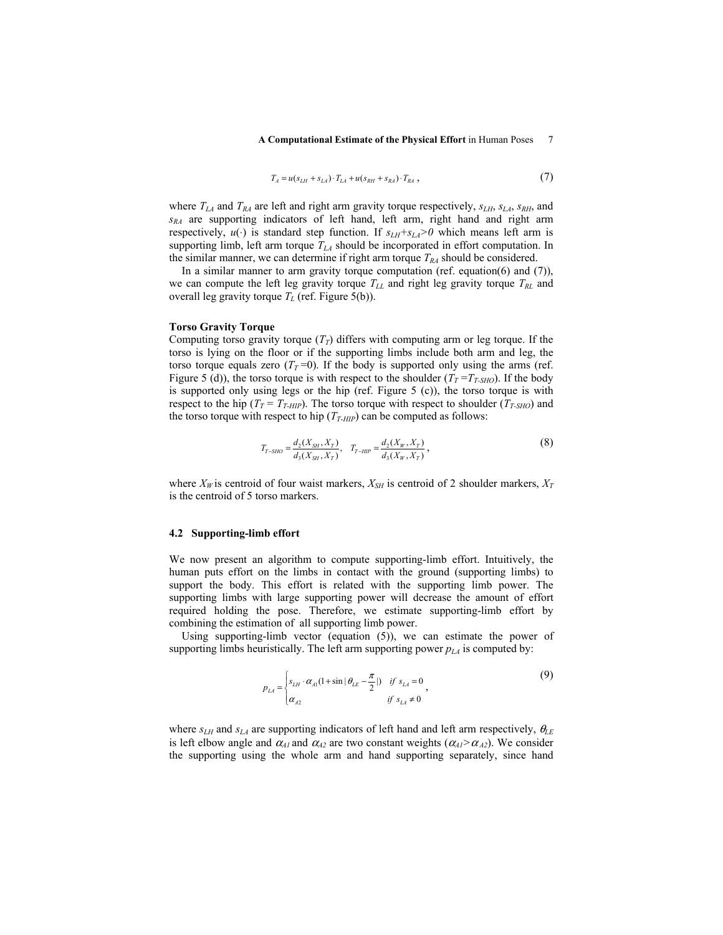$$
T_A = u(s_{LH} + s_{LA}) \cdot T_{LA} + u(s_{RH} + s_{RA}) \cdot T_{RA} \,,\tag{7}
$$

where  $T_{LA}$  and  $T_{RA}$  are left and right arm gravity torque respectively,  $s_{LH}$ ,  $s_{LH}$ ,  $s_{RH}$ , and *sRA* are supporting indicators of left hand, left arm, right hand and right arm respectively,  $u(·)$  is standard step function. If  $s<sub>LI</sub>+s<sub>LA</sub>>0$  which means left arm is supporting limb, left arm torque *TLA* should be incorporated in effort computation. In the similar manner, we can determine if right arm torque  $T_{RA}$  should be considered.

In a similar manner to arm gravity torque computation (ref. equation(6) and (7)), we can compute the left leg gravity torque  $T_{LL}$  and right leg gravity torque  $T_{RL}$  and overall leg gravity torque  $T_L$  (ref. Figure 5(b)).

#### **Torso Gravity Torque**

Computing torso gravity torque  $(T_T)$  differs with computing arm or leg torque. If the torso is lying on the floor or if the supporting limbs include both arm and leg, the torso torque equals zero  $(T_T=0)$ . If the body is supported only using the arms (ref. Figure 5 (d)), the torso torque is with respect to the shoulder  $(T_T = T_{T-SHO})$ . If the body is supported only using legs or the hip (ref. Figure 5 (c)), the torso torque is with respect to the hip  $(T_T = T_{T-HIP})$ . The torso torque with respect to shoulder  $(T_{T-SHO})$  and the torso torque with respect to hip  $(T_{T-HIP})$  can be computed as follows:

$$
T_{T-SHO} = \frac{d_2(X_{SH}, X_T)}{d_3(X_{SH}, X_T)}, \quad T_{T-HIP} = \frac{d_2(X_W, X_T)}{d_3(X_W, X_T)},
$$
\n(8)

where  $X_W$  is centroid of four waist markers,  $X_{SH}$  is centroid of 2 shoulder markers,  $X_T$ is the centroid of 5 torso markers.

### **4.2 Supporting-limb effort**

We now present an algorithm to compute supporting-limb effort. Intuitively, the human puts effort on the limbs in contact with the ground (supporting limbs) to support the body. This effort is related with the supporting limb power. The supporting limbs with large supporting power will decrease the amount of effort required holding the pose. Therefore, we estimate supporting-limb effort by combining the estimation of all supporting limb power.

Using supporting-limb vector (equation (5)), we can estimate the power of supporting limbs heuristically. The left arm supporting power  $p_{LA}$  is computed by:

$$
p_{LA} = \begin{cases} s_{LH} \cdot \alpha_{A1} (1 + \sin \mid \theta_{LE} - \frac{\pi}{2}) & \text{if } s_{LA} = 0 \\ \alpha_{A2} & \text{if } s_{LA} \neq 0 \end{cases}
$$
 (9)

where  $s_{LH}$  and  $s_{LA}$  are supporting indicators of left hand and left arm respectively,  $\theta_{LE}$ is left elbow angle and  $\alpha_{A1}$  and  $\alpha_{A2}$  are two constant weights ( $\alpha_{A1} > \alpha_{A2}$ ). We consider the supporting using the whole arm and hand supporting separately, since hand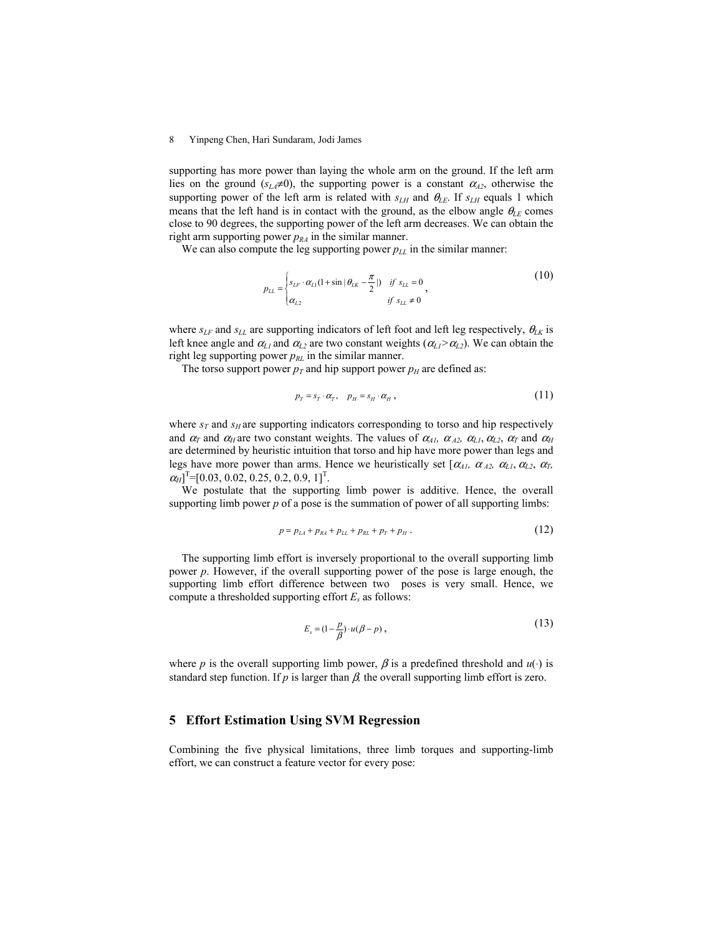supporting has more power than laying the whole arm on the ground. If the left arm lies on the ground  $(s_{LA} \neq 0)$ , the supporting power is a constant  $\alpha_{A2}$ , otherwise the supporting power of the left arm is related with  $s_{LH}$  and  $\theta_{LE}$ . If  $s_{LH}$  equals 1 which means that the left hand is in contact with the ground, as the elbow angle  $\theta_{LE}$  comes close to 90 degrees, the supporting power of the left arm decreases. We can obtain the right arm supporting power  $p_{RA}$  in the similar manner.

We can also compute the leg supporting power  $p_{LL}$  in the similar manner:

$$
p_{LL} = \begin{cases} s_{LF} \cdot \alpha_{L1} (1 + \sin |\theta_{LK} - \frac{\pi}{2}|) & \text{if } s_{LL} = 0 \\ \alpha_{L2} & \text{if } s_{LL} \neq 0 \end{cases},
$$
(10)

where  $s_{LF}$  and  $s_{LL}$  are supporting indicators of left foot and left leg respectively,  $\theta_{LK}$  is left knee angle and  $\alpha_{L1}$  and  $\alpha_{L2}$  are two constant weights ( $\alpha_{L1} > \alpha_{L2}$ ). We can obtain the right leg supporting power  $p_{RL}$  in the similar manner.

The torso support power  $p_T$  and hip support power  $p_H$  are defined as:

$$
p_T = s_T \cdot \alpha_T, \quad p_H = s_H \cdot \alpha_H,
$$
\n(11)

where  $s_T$  and  $s_H$  are supporting indicators corresponding to torso and hip respectively and  $\alpha_T$  and  $\alpha_H$  are two constant weights. The values of  $\alpha_{A1}$ ,  $\alpha_{A2}$ ,  $\alpha_{L1}$ ,  $\alpha_{L2}$ ,  $\alpha_T$  and  $\alpha_H$ are determined by heuristic intuition that torso and hip have more power than legs and legs have more power than arms. Hence we heuristically set  $[\alpha_{A1}, \alpha_{A2}, \alpha_{L1}, \alpha_{L2}, \alpha_T, \alpha_{L2}]$  $\alpha_H$ ]<sup>T</sup>=[0.03, 0.02, 0.25, 0.2, 0.9, 1]<sup>T</sup>.

We postulate that the supporting limb power is additive. Hence, the overall supporting limb power  $p$  of a pose is the summation of power of all supporting limbs:

$$
p = p_{LA} + p_{RA} + p_{LL} + p_{RL} + p_T + p_H.
$$
 (12)

The supporting limb effort is inversely proportional to the overall supporting limb power *p*. However, if the overall supporting power of the pose is large enough, the supporting limb effort difference between two poses is very small. Hence, we compute a thresholded supporting effort *Es* as follows:

$$
E_s = (1 - \frac{p}{\beta}) \cdot u(\beta - p) , \qquad (13)
$$

where *p* is the overall supporting limb power,  $\beta$  is a predefined threshold and  $u(\cdot)$  is standard step function. If  $p$  is larger than  $\beta$ , the overall supporting limb effort is zero.

# **5 Effort Estimation Using SVM Regression**

Combining the five physical limitations, three limb torques and supporting-limb effort, we can construct a feature vector for every pose: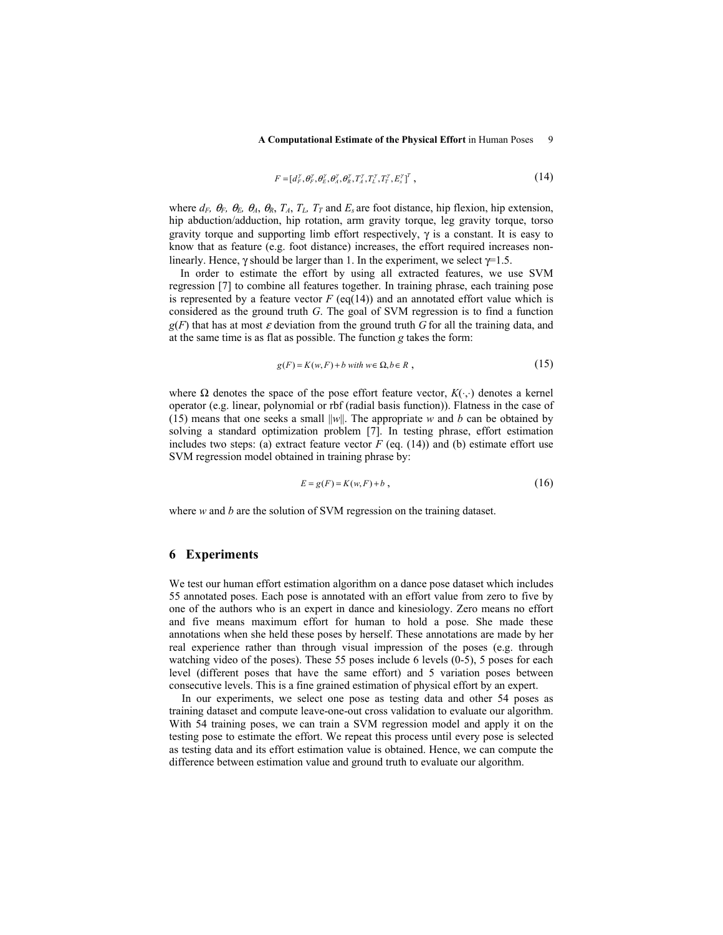$$
F = [d_F^{\gamma}, \theta_F^{\gamma}, \theta_E^{\gamma}, \theta_A^{\gamma}, \theta_R^{\gamma}, T_A^{\gamma}, T_L^{\gamma}, T_T^{\gamma}, E_s^{\gamma}]^T,
$$
\n(14)

where  $d_F$ ,  $\theta_F$ ,  $\theta_E$ ,  $\theta_A$ ,  $\theta_R$ ,  $T_A$ ,  $T_L$ ,  $T_T$  and  $E_s$  are foot distance, hip flexion, hip extension, hip abduction/adduction, hip rotation, arm gravity torque, leg gravity torque, torso gravity torque and supporting limb effort respectively,  $\gamma$  is a constant. It is easy to know that as feature (e.g. foot distance) increases, the effort required increases nonlinearly. Hence,  $\gamma$  should be larger than 1. In the experiment, we select  $\gamma$ =1.5.

In order to estimate the effort by using all extracted features, we use SVM regression [7] to combine all features together. In training phrase, each training pose is represented by a feature vector  $F$  (eq(14)) and an annotated effort value which is considered as the ground truth *G*. The goal of SVM regression is to find a function  $g(F)$  that has at most  $\varepsilon$  deviation from the ground truth *G* for all the training data, and at the same time is as flat as possible. The function *g* takes the form:

$$
g(F) = K(w, F) + b \text{ with } w \in \Omega, b \in R ,
$$
\n
$$
(15)
$$

where  $\Omega$  denotes the space of the pose effort feature vector,  $K(\cdot, \cdot)$  denotes a kernel operator (e.g. linear, polynomial or rbf (radial basis function)). Flatness in the case of (15) means that one seeks a small  $||w||$ . The appropriate *w* and *b* can be obtained by solving a standard optimization problem [7]. In testing phrase, effort estimation includes two steps: (a) extract feature vector  $F$  (eq. (14)) and (b) estimate effort use SVM regression model obtained in training phrase by:

$$
E = g(F) = K(w, F) + b \tag{16}
$$

where *w* and *b* are the solution of SVM regression on the training dataset.

# **6 Experiments**

We test our human effort estimation algorithm on a dance pose dataset which includes 55 annotated poses. Each pose is annotated with an effort value from zero to five by one of the authors who is an expert in dance and kinesiology. Zero means no effort and five means maximum effort for human to hold a pose. She made these annotations when she held these poses by herself. These annotations are made by her real experience rather than through visual impression of the poses (e.g. through watching video of the poses). These 55 poses include 6 levels (0-5), 5 poses for each level (different poses that have the same effort) and 5 variation poses between consecutive levels. This is a fine grained estimation of physical effort by an expert.

In our experiments, we select one pose as testing data and other 54 poses as training dataset and compute leave-one-out cross validation to evaluate our algorithm. With 54 training poses, we can train a SVM regression model and apply it on the testing pose to estimate the effort. We repeat this process until every pose is selected as testing data and its effort estimation value is obtained. Hence, we can compute the difference between estimation value and ground truth to evaluate our algorithm.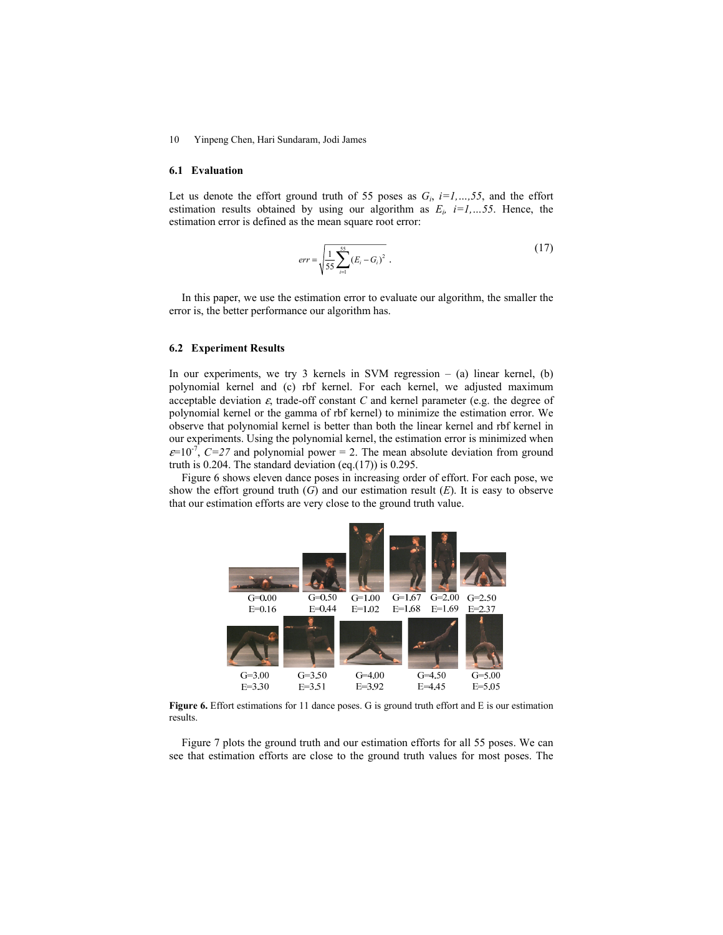#### **6.1 Evaluation**

Let us denote the effort ground truth of 55 poses as  $G_i$ ,  $i=1,...,55$ , and the effort estimation results obtained by using our algorithm as  $E_i$ ,  $i=1,...55$ . Hence, the estimation error is defined as the mean square root error:

$$
err = \sqrt{\frac{1}{55} \sum_{i=1}^{55} (E_i - G_i)^2} \tag{17}
$$

In this paper, we use the estimation error to evaluate our algorithm, the smaller the error is, the better performance our algorithm has.

### **6.2 Experiment Results**

In our experiments, we try 3 kernels in SVM regression – (a) linear kernel, (b) polynomial kernel and (c) rbf kernel. For each kernel, we adjusted maximum acceptable deviation  $\varepsilon$ , trade-off constant  $C$  and kernel parameter (e.g. the degree of polynomial kernel or the gamma of rbf kernel) to minimize the estimation error. We observe that polynomial kernel is better than both the linear kernel and rbf kernel in our experiments. Using the polynomial kernel, the estimation error is minimized when  $\varepsilon=10^{-7}$ ,  $C=27$  and polynomial power = 2. The mean absolute deviation from ground truth is 0.204. The standard deviation  $(eq.(17))$  is 0.295.

Figure 6 shows eleven dance poses in increasing order of effort. For each pose, we show the effort ground truth  $(G)$  and our estimation result  $(E)$ . It is easy to observe that our estimation efforts are very close to the ground truth value.



**Figure 6.** Effort estimations for 11 dance poses. G is ground truth effort and E is our estimation results.

Figure 7 plots the ground truth and our estimation efforts for all 55 poses. We can see that estimation efforts are close to the ground truth values for most poses. The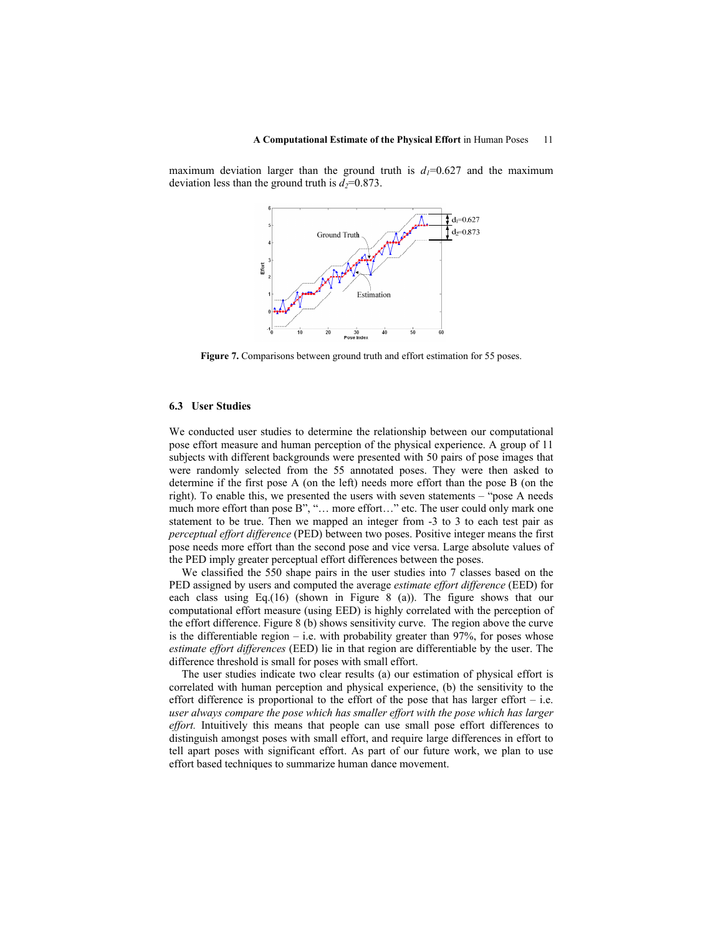maximum deviation larger than the ground truth is  $d_1=0.627$  and the maximum deviation less than the ground truth is  $d_2=0.873$ .



**Figure 7.** Comparisons between ground truth and effort estimation for 55 poses.

# **6.3 User Studies**

We conducted user studies to determine the relationship between our computational pose effort measure and human perception of the physical experience. A group of 11 subjects with different backgrounds were presented with 50 pairs of pose images that were randomly selected from the 55 annotated poses. They were then asked to determine if the first pose A (on the left) needs more effort than the pose B (on the right). To enable this, we presented the users with seven statements – "pose A needs much more effort than pose B", "… more effort…" etc. The user could only mark one statement to be true. Then we mapped an integer from -3 to 3 to each test pair as *perceptual effort difference* (PED) between two poses. Positive integer means the first pose needs more effort than the second pose and vice versa. Large absolute values of the PED imply greater perceptual effort differences between the poses.

We classified the 550 shape pairs in the user studies into 7 classes based on the PED assigned by users and computed the average *estimate effort difference* (EED) for each class using Eq.(16) (shown in Figure 8 (a)). The figure shows that our computational effort measure (using EED) is highly correlated with the perception of the effort difference. Figure 8 (b) shows sensitivity curve. The region above the curve is the differentiable region  $-$  i.e. with probability greater than 97%, for poses whose *estimate effort differences* (EED) lie in that region are differentiable by the user. The difference threshold is small for poses with small effort.

The user studies indicate two clear results (a) our estimation of physical effort is correlated with human perception and physical experience, (b) the sensitivity to the effort difference is proportional to the effort of the pose that has larger effort – i.e. *user always compare the pose which has smaller effort with the pose which has larger effort.* Intuitively this means that people can use small pose effort differences to distinguish amongst poses with small effort, and require large differences in effort to tell apart poses with significant effort. As part of our future work, we plan to use effort based techniques to summarize human dance movement.